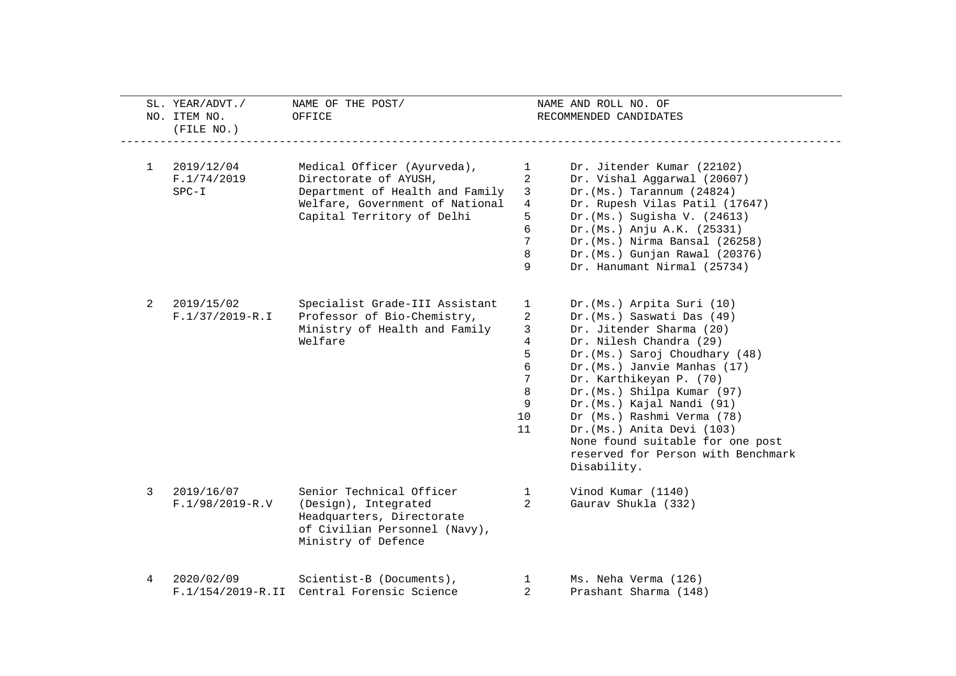| 2019/12/04<br>Medical Officer (Ayurveda),<br>1<br>F.1/74/2019<br>Directorate of AYUSH,<br>$SPC-I$<br>Department of Health and Family<br>Welfare, Government of National<br>Capital Territory of Delhi | $\mathbf{1}$<br>$\overline{a}$<br>$\mathbf{3}$<br>$\overline{4}$<br>5<br>6<br>7<br>8<br>9 | Dr. Jitender Kumar (22102)<br>Dr. Vishal Aggarwal (20607)<br>$Dr.(Ms.)$ Tarannum $(24824)$<br>Dr. Rupesh Vilas Patil (17647)<br>Dr. (Ms.) Sugisha V. (24613)<br>Dr. (Ms.) Anju A.K. (25331)<br>Dr. (Ms.) Nirma Bansal (26258)<br>Dr. (Ms.) Gunjan Rawal (20376) |
|-------------------------------------------------------------------------------------------------------------------------------------------------------------------------------------------------------|-------------------------------------------------------------------------------------------|-----------------------------------------------------------------------------------------------------------------------------------------------------------------------------------------------------------------------------------------------------------------|
|                                                                                                                                                                                                       |                                                                                           |                                                                                                                                                                                                                                                                 |
|                                                                                                                                                                                                       |                                                                                           |                                                                                                                                                                                                                                                                 |
|                                                                                                                                                                                                       |                                                                                           |                                                                                                                                                                                                                                                                 |
|                                                                                                                                                                                                       |                                                                                           |                                                                                                                                                                                                                                                                 |
|                                                                                                                                                                                                       |                                                                                           |                                                                                                                                                                                                                                                                 |
|                                                                                                                                                                                                       |                                                                                           |                                                                                                                                                                                                                                                                 |
|                                                                                                                                                                                                       |                                                                                           |                                                                                                                                                                                                                                                                 |
|                                                                                                                                                                                                       |                                                                                           |                                                                                                                                                                                                                                                                 |
|                                                                                                                                                                                                       |                                                                                           | Dr. Hanumant Nirmal (25734)                                                                                                                                                                                                                                     |
| 2019/15/02<br>Specialist Grade-III Assistant<br>2                                                                                                                                                     | $\mathbf{1}$                                                                              | Dr. (Ms.) Arpita Suri (10)                                                                                                                                                                                                                                      |
| Professor of Bio-Chemistry,<br>$F.1/37/2019 - R.I$                                                                                                                                                    | 2                                                                                         | Dr. (Ms.) Saswati Das (49)                                                                                                                                                                                                                                      |
| Ministry of Health and Family                                                                                                                                                                         | 3                                                                                         | Dr. Jitender Sharma (20)                                                                                                                                                                                                                                        |
| Welfare                                                                                                                                                                                               | $\overline{4}$                                                                            | Dr. Nilesh Chandra (29)                                                                                                                                                                                                                                         |
|                                                                                                                                                                                                       | 5                                                                                         | Dr. (Ms.) Saroj Choudhary (48)                                                                                                                                                                                                                                  |
|                                                                                                                                                                                                       | 6                                                                                         | Dr. (Ms.) Janvie Manhas (17)                                                                                                                                                                                                                                    |
|                                                                                                                                                                                                       | 7                                                                                         | Dr. Karthikeyan P. (70)                                                                                                                                                                                                                                         |
|                                                                                                                                                                                                       | 8                                                                                         | Dr. (Ms.) Shilpa Kumar (97)                                                                                                                                                                                                                                     |
|                                                                                                                                                                                                       | 9                                                                                         | Dr. (Ms.) Kajal Nandi (91)                                                                                                                                                                                                                                      |
|                                                                                                                                                                                                       | 10                                                                                        | Dr (Ms.) Rashmi Verma (78)                                                                                                                                                                                                                                      |
|                                                                                                                                                                                                       | 11                                                                                        | Dr. (Ms.) Anita Devi (103)                                                                                                                                                                                                                                      |
|                                                                                                                                                                                                       |                                                                                           | None found suitable for one post                                                                                                                                                                                                                                |
|                                                                                                                                                                                                       |                                                                                           | reserved for Person with Benchmark                                                                                                                                                                                                                              |
|                                                                                                                                                                                                       |                                                                                           | Disability.                                                                                                                                                                                                                                                     |
| 2019/16/07<br>Senior Technical Officer<br>3                                                                                                                                                           | $\mathbf{1}$                                                                              | Vinod Kumar (1140)                                                                                                                                                                                                                                              |
| $F.1/98/2019 - R.V$<br>(Design), Integrated                                                                                                                                                           | $\overline{2}$                                                                            | Gaurav Shukla (332)                                                                                                                                                                                                                                             |
| Headquarters, Directorate                                                                                                                                                                             |                                                                                           |                                                                                                                                                                                                                                                                 |
| of Civilian Personnel (Navy),                                                                                                                                                                         |                                                                                           |                                                                                                                                                                                                                                                                 |
| Ministry of Defence                                                                                                                                                                                   |                                                                                           |                                                                                                                                                                                                                                                                 |
| 2020/02/09<br>Scientist-B (Documents),<br>4                                                                                                                                                           | $\mathbf{1}$                                                                              | Ms. Neha Verma (126)                                                                                                                                                                                                                                            |
| F.1/154/2019-R.II Central Forensic Science                                                                                                                                                            | $\overline{2}$                                                                            | Prashant Sharma (148)                                                                                                                                                                                                                                           |